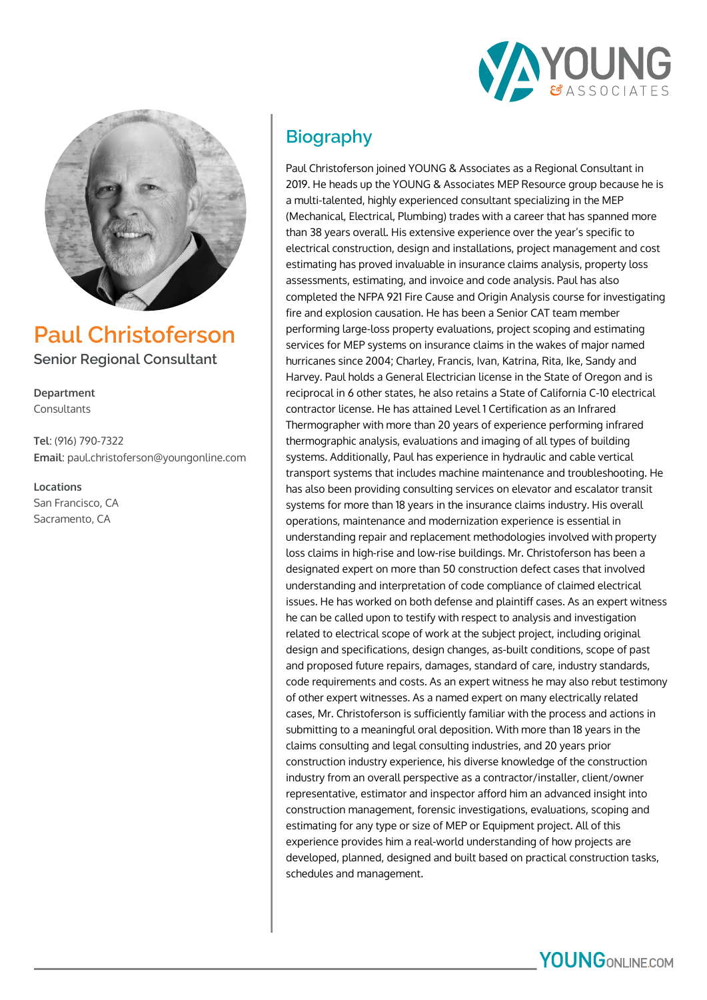



**Paul Christoferson Senior Regional Consultant**

**Department** Consultants

**Tel**: (916) 790-7322 **Email**: paul.christoferson@youngonline.com

**Locations** San Francisco, CA Sacramento, CA

# **Biography**

Paul Christoferson joined YOUNG & Associates as a Regional Consultant in 2019. He heads up the YOUNG & Associates MEP Resource group because he is a multi-talented, highly experienced consultant specializing in the MEP (Mechanical, Electrical, Plumbing) trades with a career that has spanned more than 38 years overall. His extensive experience over the year's specific to electrical construction, design and installations, project management and cost estimating has proved invaluable in insurance claims analysis, property loss assessments, estimating, and invoice and code analysis. Paul has also completed the NFPA 921 Fire Cause and Origin Analysis course for investigating fire and explosion causation. He has been a Senior CAT team member performing large-loss property evaluations, project scoping and estimating services for MEP systems on insurance claims in the wakes of major named hurricanes since 2004; Charley, Francis, Ivan, Katrina, Rita, Ike, Sandy and Harvey. Paul holds a General Electrician license in the State of Oregon and is reciprocal in 6 other states, he also retains a State of California C-10 electrical contractor license. He has attained Level 1 Certification as an Infrared Thermographer with more than 20 years of experience performing infrared thermographic analysis, evaluations and imaging of all types of building systems. Additionally, Paul has experience in hydraulic and cable vertical transport systems that includes machine maintenance and troubleshooting. He has also been providing consulting services on elevator and escalator transit systems for more than 18 years in the insurance claims industry. His overall operations, maintenance and modernization experience is essential in understanding repair and replacement methodologies involved with property loss claims in high-rise and low-rise buildings. Mr. Christoferson has been a designated expert on more than 50 construction defect cases that involved understanding and interpretation of code compliance of claimed electrical issues. He has worked on both defense and plaintiff cases. As an expert witness he can be called upon to testify with respect to analysis and investigation related to electrical scope of work at the subject project, including original design and specifications, design changes, as-built conditions, scope of past and proposed future repairs, damages, standard of care, industry standards, code requirements and costs. As an expert witness he may also rebut testimony of other expert witnesses. As a named expert on many electrically related cases, Mr. Christoferson is sufficiently familiar with the process and actions in submitting to a meaningful oral deposition. With more than 18 years in the claims consulting and legal consulting industries, and 20 years prior construction industry experience, his diverse knowledge of the construction industry from an overall perspective as a contractor/installer, client/owner representative, estimator and inspector afford him an advanced insight into construction management, forensic investigations, evaluations, scoping and estimating for any type or size of MEP or Equipment project. All of this experience provides him a real-world understanding of how projects are developed, planned, designed and built based on practical construction tasks, schedules and management.